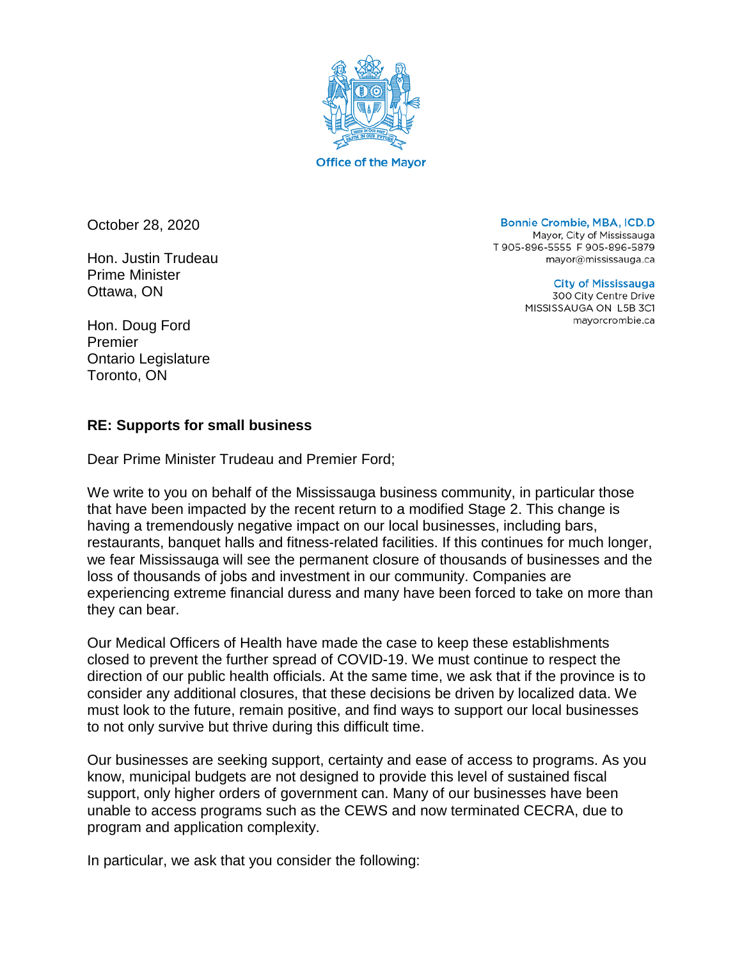

October 28, 2020

Hon. Justin Trudeau Prime Minister Ottawa, ON

Hon. Doug Ford Premier Ontario Legislature Toronto, ON

**Bonnie Crombie, MBA, ICD.D** Mayor, City of Mississauga T 905-896-5555 F 905-896-5879 mayor@mississauga.ca

> **City of Mississauga** 300 City Centre Drive MISSISSAUGA ON L5B 3C1 mayorcrombie.ca

## **RE: Supports for small business**

Dear Prime Minister Trudeau and Premier Ford;

We write to you on behalf of the Mississauga business community, in particular those that have been impacted by the recent return to a modified Stage 2. This change is having a tremendously negative impact on our local businesses, including bars, restaurants, banquet halls and fitness-related facilities. If this continues for much longer, we fear Mississauga will see the permanent closure of thousands of businesses and the loss of thousands of jobs and investment in our community. Companies are experiencing extreme financial duress and many have been forced to take on more than they can bear.

Our Medical Officers of Health have made the case to keep these establishments closed to prevent the further spread of COVID-19. We must continue to respect the direction of our public health officials. At the same time, we ask that if the province is to consider any additional closures, that these decisions be driven by localized data. We must look to the future, remain positive, and find ways to support our local businesses to not only survive but thrive during this difficult time.

Our businesses are seeking support, certainty and ease of access to programs. As you know, municipal budgets are not designed to provide this level of sustained fiscal support, only higher orders of government can. Many of our businesses have been unable to access programs such as the CEWS and now terminated CECRA, due to program and application complexity.

In particular, we ask that you consider the following: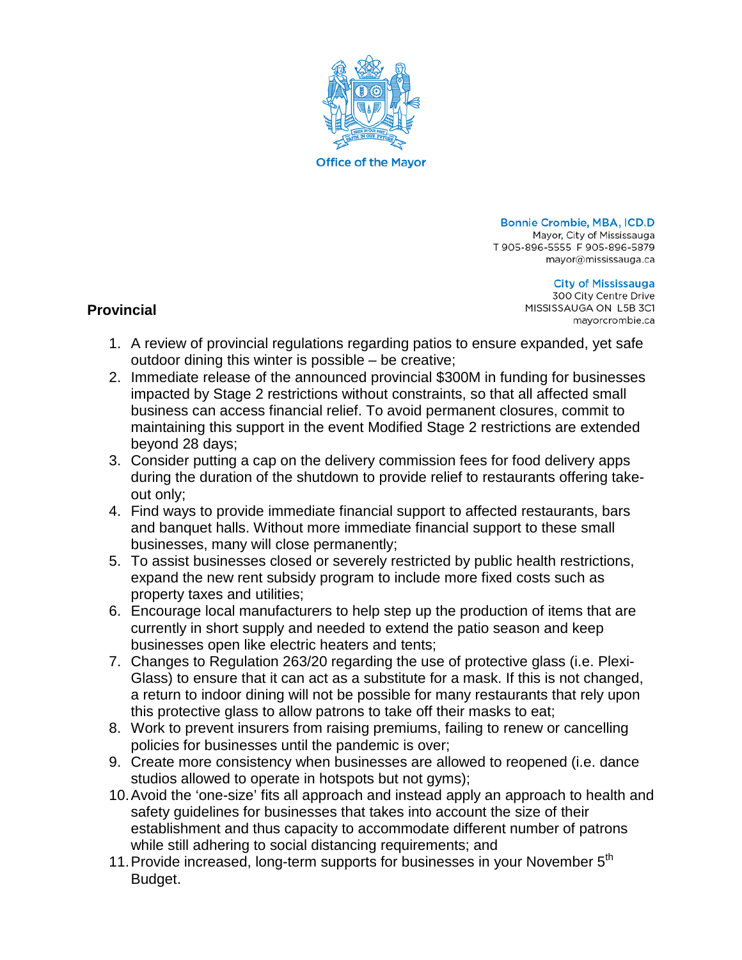

**Bonnie Crombie, MBA, ICD.D** Mayor, City of Mississauga T905-896-5555 F905-896-5879 mayor@mississauga.ca

> **City of Mississauga** 300 City Centre Drive MISSISSAUGA ON L5B 3C1 mayorcrombie.ca

## **Provincial**

- 1. A review of provincial regulations regarding patios to ensure expanded, yet safe outdoor dining this winter is possible – be creative;
- 2. Immediate release of the announced provincial \$300M in funding for businesses impacted by Stage 2 restrictions without constraints, so that all affected small business can access financial relief. To avoid permanent closures, commit to maintaining this support in the event Modified Stage 2 restrictions are extended beyond 28 days;
- 3. Consider putting a cap on the delivery commission fees for food delivery apps during the duration of the shutdown to provide relief to restaurants offering takeout only;
- 4. Find ways to provide immediate financial support to affected restaurants, bars and banquet halls. Without more immediate financial support to these small businesses, many will close permanently;
- 5. To assist businesses closed or severely restricted by public health restrictions, expand the new rent subsidy program to include more fixed costs such as property taxes and utilities;
- 6. Encourage local manufacturers to help step up the production of items that are currently in short supply and needed to extend the patio season and keep businesses open like electric heaters and tents;
- 7. Changes to Regulation 263/20 regarding the use of protective glass (i.e. Plexi-Glass) to ensure that it can act as a substitute for a mask. If this is not changed, a return to indoor dining will not be possible for many restaurants that rely upon this protective glass to allow patrons to take off their masks to eat;
- 8. Work to prevent insurers from raising premiums, failing to renew or cancelling policies for businesses until the pandemic is over;
- 9. Create more consistency when businesses are allowed to reopened (i.e. dance studios allowed to operate in hotspots but not gyms);
- 10.Avoid the 'one-size' fits all approach and instead apply an approach to health and safety guidelines for businesses that takes into account the size of their establishment and thus capacity to accommodate different number of patrons while still adhering to social distancing requirements; and
- 11. Provide increased, long-term supports for businesses in your November 5<sup>th</sup> Budget.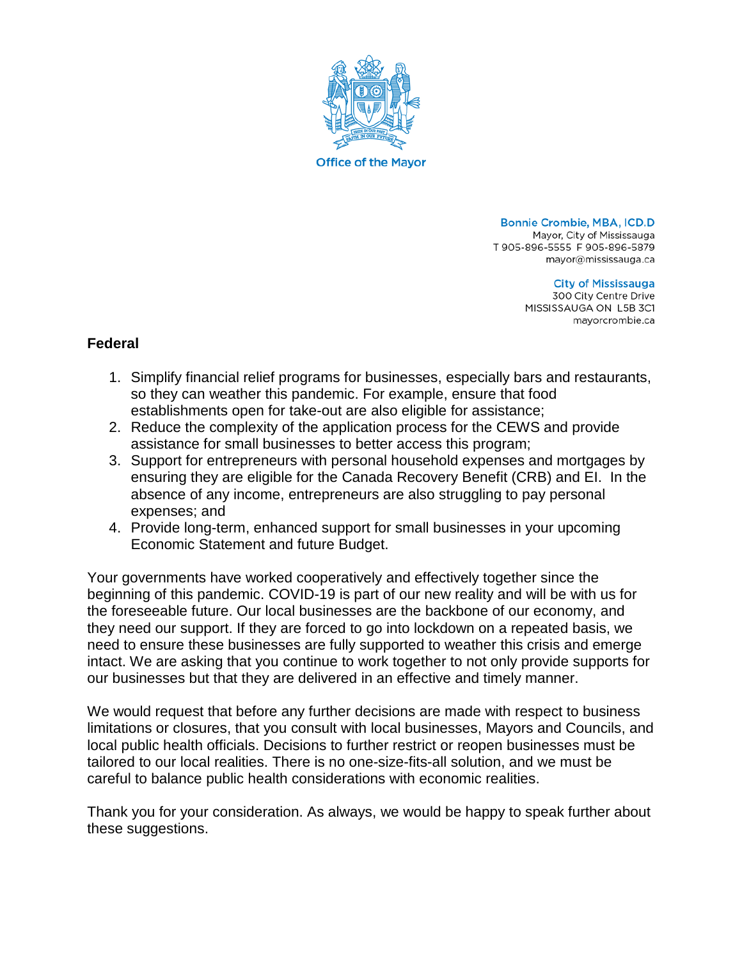

**Bonnie Crombie, MBA, ICD.D** Mayor, City of Mississauga T 905-896-5555 F 905-896-5879 mayor@mississauga.ca

> **City of Mississauga** 300 City Centre Drive MISSISSAUGA ON L5B 3C1 mayorcrombie.ca

## **Federal**

- 1. Simplify financial relief programs for businesses, especially bars and restaurants, so they can weather this pandemic. For example, ensure that food establishments open for take-out are also eligible for assistance;
- 2. Reduce the complexity of the application process for the CEWS and provide assistance for small businesses to better access this program;
- 3. Support for entrepreneurs with personal household expenses and mortgages by ensuring they are eligible for the Canada Recovery Benefit (CRB) and EI. In the absence of any income, entrepreneurs are also struggling to pay personal expenses; and
- 4. Provide long-term, enhanced support for small businesses in your upcoming Economic Statement and future Budget.

Your governments have worked cooperatively and effectively together since the beginning of this pandemic. COVID-19 is part of our new reality and will be with us for the foreseeable future. Our local businesses are the backbone of our economy, and they need our support. If they are forced to go into lockdown on a repeated basis, we need to ensure these businesses are fully supported to weather this crisis and emerge intact. We are asking that you continue to work together to not only provide supports for our businesses but that they are delivered in an effective and timely manner.

We would request that before any further decisions are made with respect to business limitations or closures, that you consult with local businesses, Mayors and Councils, and local public health officials. Decisions to further restrict or reopen businesses must be tailored to our local realities. There is no one-size-fits-all solution, and we must be careful to balance public health considerations with economic realities.

Thank you for your consideration. As always, we would be happy to speak further about these suggestions.